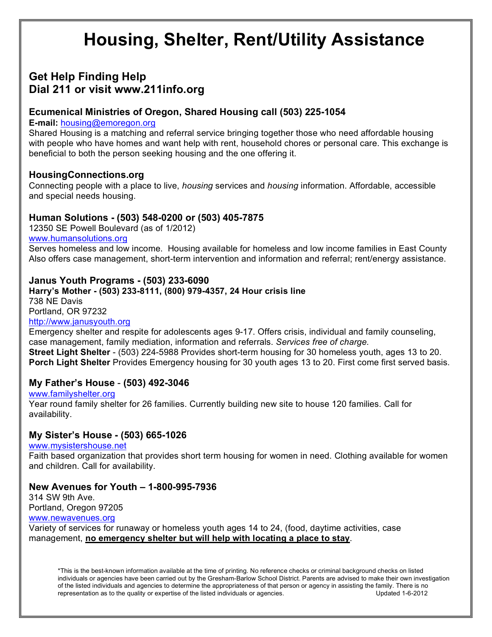# **Housing, Shelter, Rent/Utility Assistance**

# **Get Help Finding Help Dial 211 or visit www.211info.org**

# **Ecumenical Ministries of Oregon, Shared Housing call (503) 225-1054**

#### **E-mail:** housing@emoregon.org

Shared Housing is a matching and referral service bringing together those who need affordable housing with people who have homes and want help with rent, household chores or personal care. This exchange is beneficial to both the person seeking housing and the one offering it.

# **HousingConnections.org**

Connecting people with a place to live, *housing* services and *housing* information. Affordable, accessible and special needs housing.

# **Human Solutions - (503) 548-0200 or (503) 405-7875**

12350 SE Powell Boulevard (as of 1/2012) www.humansolutions.org

Serves homeless and low income. Housing available for homeless and low income families in East County Also offers case management, short-term intervention and information and referral; rent/energy assistance.

# **Janus Youth Programs - (503) 233-6090**

#### **Harry's Mother - (503) 233-8111, (800) 979-4357, 24 Hour crisis line** 738 NE Davis Portland, OR 97232 http://www.janusyouth.org

Emergency shelter and respite for adolescents ages 9-17. Offers crisis, individual and family counseling, case management, family mediation, information and referrals. *Services free of charge.* **Street Light Shelter** - (503) 224-5988 Provides short-term housing for 30 homeless youth, ages 13 to 20. **Porch Light Shelter** Provides Emergency housing for 30 youth ages 13 to 20. First come first served basis.

#### **My Father's House** - **(503) 492-3046**

www.familyshelter.org

Year round family shelter for 26 families. Currently building new site to house 120 families. Call for availability.

# **My Sister's House - (503) 665-1026**

www.mysistershouse.net

Faith based organization that provides short term housing for women in need. Clothing available for women and children. Call for availability.

# **New Avenues for Youth – 1-800-995-7936**

314 SW 9th Ave. Portland, Oregon 97205

www.newavenues.org

Variety of services for runaway or homeless youth ages 14 to 24, (food, daytime activities, case management, **no emergency shelter but will help with locating a place to stay**.

\*This is the best-known information available at the time of printing. No reference checks or criminal background checks on listed individuals or agencies have been carried out by the Gresham-Barlow School District. Parents are advised to make their own investigation of the listed individuals and agencies to determine the appropriateness of that person or agency in assisting the family. There is no representation as to the quality or expertise of the listed individuals or agencies. Updated 1-6-2012